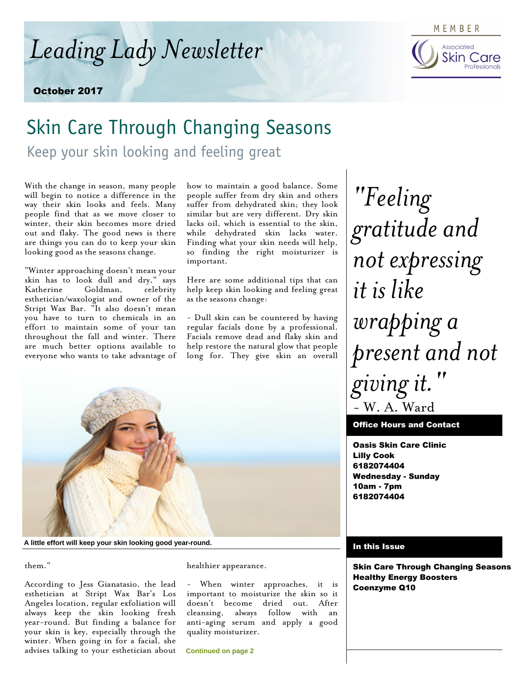*Leading Lady Newsletter*

October 2017

### MEMBER



# Skin Care Through Changing Seasons

Keep your skin looking and feeling great

With the change in season, many people will begin to notice a difference in the way their skin looks and feels. Many people find that as we move closer to winter, their skin becomes more dried out and flaky. The good news is there are things you can do to keep your skin looking good as the seasons change.

"Winter approaching doesn't mean your skin has to look dull and dry," says Katherine Goldman, celebrity esthetician/waxologist and owner of the Stript Wax Bar. "It also doesn't mean you have to turn to chemicals in an effort to maintain some of your tan throughout the fall and winter. There are much better options available to everyone who wants to take advantage of how to maintain a good balance. Some people suffer from dry skin and others suffer from dehydrated skin; they look similar but are very different. Dry skin lacks oil, which is essential to the skin, while dehydrated skin lacks water. Finding what your skin needs will help, so finding the right moisturizer is important.

Here are some additional tips that can help keep skin looking and feeling great as the seasons change:

- Dull skin can be countered by having regular facials done by a professional. Facials remove dead and flaky skin and help restore the natural glow that people long for. They give skin an overall



**A little effort will keep your skin looking good year-round.**

them."

According to Jess Gianatasio, the lead esthetician at Stript Wax Bar's Los Angeles location, regular exfoliation will always keep the skin looking fresh year-round. But finding a balance for your skin is key, especially through the winter. When going in for a facial, she advises talking to your esthetician about

#### healthier appearance.

- When winter approaches, it is important to moisturize the skin so it doesn't become dried out. After cleansing, always follow with an anti-aging serum and apply a good quality moisturizer.

**Continued on page 2**

*"Feeling gratitude and not expressing it is like wrapping a present and not giving it."* - W. A. Ward

Office Hours and Contact

Oasis Skin Care Clinic Lilly Cook 6182074404 Wednesday - Sunday 10am - 7pm 6182074404

#### In this Issue

Skin Care Through Changing Seasons Healthy Energy Boosters Coenzyme Q10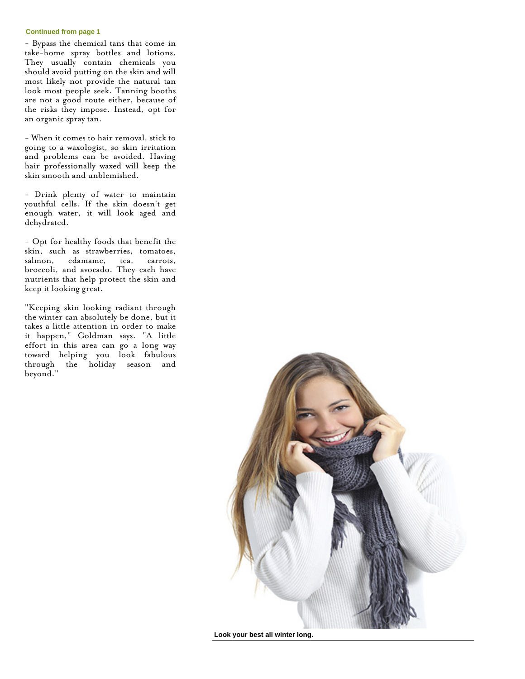#### **Continued from page 1**

- Bypass the chemical tans that come in take-home spray bottles and lotions. They usually contain chemicals you should avoid putting on the skin and will most likely not provide the natural tan look most people seek. Tanning booths are not a good route either, because of the risks they impose. Instead, opt for an organic spray tan.

- When it comes to hair removal, stick to going to a waxologist, so skin irritation and problems can be avoided. Having hair professionally waxed will keep the skin smooth and unblemished.

- Drink plenty of water to maintain youthful cells. If the skin doesn't get enough water, it will look aged and dehydrated.

- Opt for healthy foods that benefit the skin, such as strawberries, tomatoes, salmon, edamame, tea, carrots, broccoli, and avocado. They each have nutrients that help protect the skin and keep it looking great.

"Keeping skin looking radiant through the winter can absolutely be done, but it takes a little attention in order to make it happen," Goldman says. "A little effort in this area can go a long way toward helping you look fabulous through the holiday season and beyond."



**Look your best all winter long.**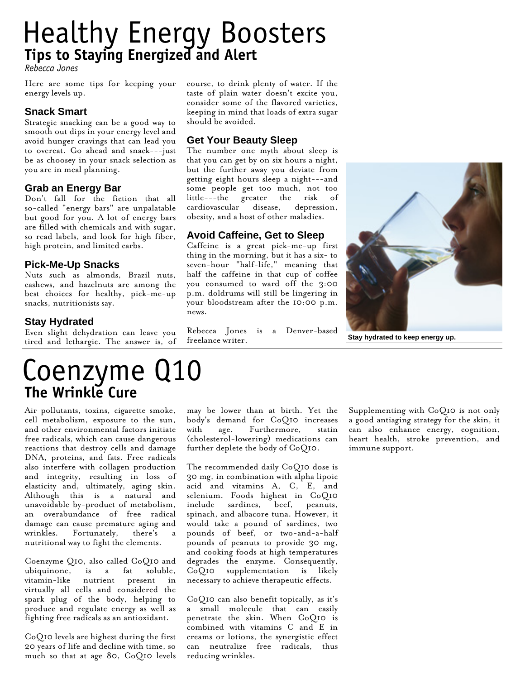## Healthy Energy Boosters **Tips to Staying Energized and Alert**

*Rebecca Jones*

Here are some tips for keeping your energy levels up.

#### **Snack Smart**

Strategic snacking can be a good way to smooth out dips in your energy level and avoid hunger cravings that can lead you to overeat. Go ahead and snack---just be as choosey in your snack selection as you are in meal planning.

#### **Grab an Energy Bar**

Don't fall for the fiction that all so-called "energy bars" are unpalatable but good for you. A lot of energy bars are filled with chemicals and with sugar, so read labels, and look for high fiber, high protein, and limited carbs.

#### **Pick-Me-Up Snacks**

Nuts such as almonds, Brazil nuts, cashews, and hazelnuts are among the best choices for healthy, pick-me-up snacks, nutritionists say.

#### **Stay Hydrated**

Even slight dehydration can leave you tired and lethargic. The answer is, of course, to drink plenty of water. If the taste of plain water doesn't excite you, consider some of the flavored varieties, keeping in mind that loads of extra sugar should be avoided.

#### **Get Your Beauty Sleep**

The number one myth about sleep is that you can get by on six hours a night, but the further away you deviate from getting eight hours sleep a night---and some people get too much, not too little---the greater the risk of cardiovascular disease, depression, obesity, and a host of other maladies.

### **Avoid Caffeine, Get to Sleep**

Caffeine is a great pick-me-up first thing in the morning, but it has a six- to seven-hour "half-life," meaning that half the caffeine in that cup of coffee you consumed to ward off the 3:00 p.m. doldrums will still be lingering in your bloodstream after the 10:00 p.m. news.

Rebecca Jones is a Denver-based freelance writer.



**Stay hydrated to keep energy up.**

## Coenzyme Q10 **The Wrinkle Cure**

Air pollutants, toxins, cigarette smoke, cell metabolism, exposure to the sun, and other environmental factors initiate free radicals, which can cause dangerous reactions that destroy cells and damage DNA, proteins, and fats. Free radicals also interfere with collagen production and integrity, resulting in loss of elasticity and, ultimately, aging skin. Although this is a natural and unavoidable by-product of metabolism, an overabundance of free radical damage can cause premature aging and wrinkles. Fortunately, there's nutritional way to fight the elements.

Coenzyme Q10, also called CoQ10 and ubiquinone, is a fat soluble, vitamin-like nutrient present in virtually all cells and considered the spark plug of the body, helping to produce and regulate energy as well as fighting free radicals as an antioxidant.

CoQ10 levels are highest during the first 20 years of life and decline with time, so much so that at age 80, CoQ10 levels may be lower than at birth. Yet the body's demand for CoQ10 increases with age. Furthermore, statin (cholesterol-lowering) medications can further deplete the body of CoQ10.

The recommended daily CoQ10 dose is 30 mg, in combination with alpha lipoic acid and vitamins A, C, E, and selenium. Foods highest in CoQ10 include sardines, beef, peanuts, spinach, and albacore tuna. However, it would take a pound of sardines, two pounds of beef, or two-and-a-half pounds of peanuts to provide 30 mg, and cooking foods at high temperatures degrades the enzyme. Consequently, CoQ10 supplementation is likely necessary to achieve therapeutic effects.

CoQ10 can also benefit topically, as it's a small molecule that can easily penetrate the skin. When CoQ10 is combined with vitamins C and E in creams or lotions, the synergistic effect can neutralize free radicals, thus reducing wrinkles.

Supplementing with CoQ10 is not only a good antiaging strategy for the skin, it can also enhance energy, cognition, heart health, stroke prevention, and immune support.